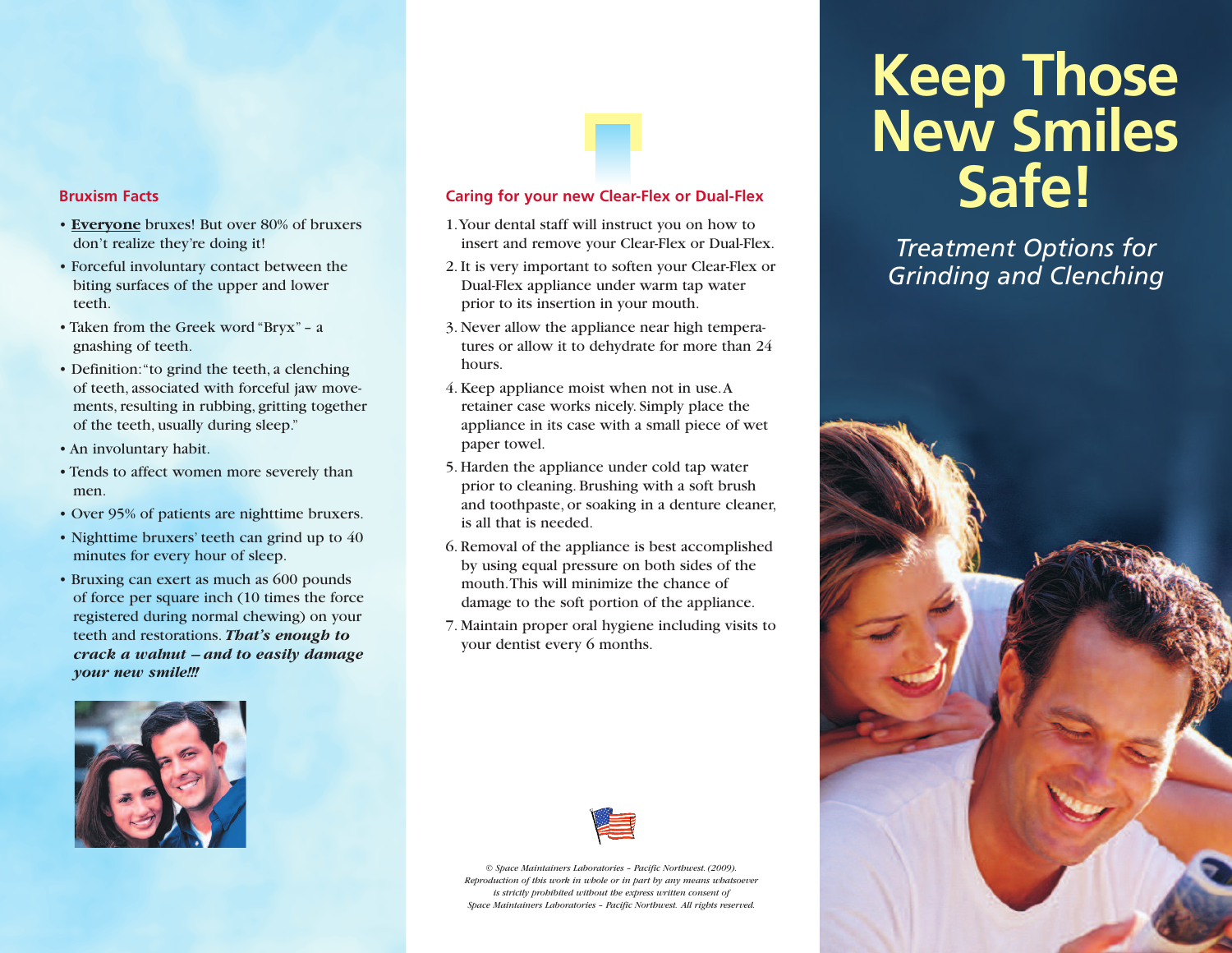#### **Bruxism Facts**

- **Everyone** bruxes! But over 80% of bruxers don't realize they're doing it!
- Forceful involuntary contact between the biting surfaces of the upper and lower teeth.
- Taken from the Greek word "Bryx" a gnashing of teeth.
- Definition:"to grind the teeth, a clenching of teeth, associated with forceful jaw movements, resulting in rubbing, gritting together of the teeth, usually during sleep."
- An involuntary habit.
- Tends to affect women more severely than men.
- Over 95% of patients are nighttime bruxers.
- Nighttime bruxers' teeth can grind up to 40 minutes for every hour of sleep.
- Bruxing can exert as much as 600 pounds of force per square inch (10 times the force registered during normal chewing) on your teeth and restorations. *That's enough to crack a walnut – and to easily damage your new smile!!!*

### **Caring for your new Clear-Flex or Dual-Flex**

- 1.Your dental staff will instruct you on how to insert and remove your Clear-Flex or Dual-Flex.
- 2. It is very important to soften your Clear-Flex or Dual-Flex appliance under warm tap water prior to its insertion in your mouth.
- 3. Never allow the appliance near high temperatures or allow it to dehydrate for more than 24 hours.
- 4.Keep appliance moist when not in use.A retainer case works nicely. Simply place the appliance in its case with a small piece of wet paper towel.
- 5. Harden the appliance under cold tap water prior to cleaning. Brushing with a soft brush and toothpaste, or soaking in a denture cleaner, is all that is needed.
- 6. Removal of the appliance is best accomplished by using equal pressure on both sides of the mouth.This will minimize the chance of damage to the soft portion of the appliance.
- 7. Maintain proper oral hygiene including visits to your dentist every 6 months.



*© Space Maintainers Laboratories – Pacific Northwest. (2009). Reproduction of this work in whole or in part by any means whatsoever is strictly prohibited without the express written consent of Space Maintainers Laboratories – Pacific Northwest. All rights reserved.*

# **Keep Those New Smiles Safe!**

*Treatment Options for Grinding and Clenching*